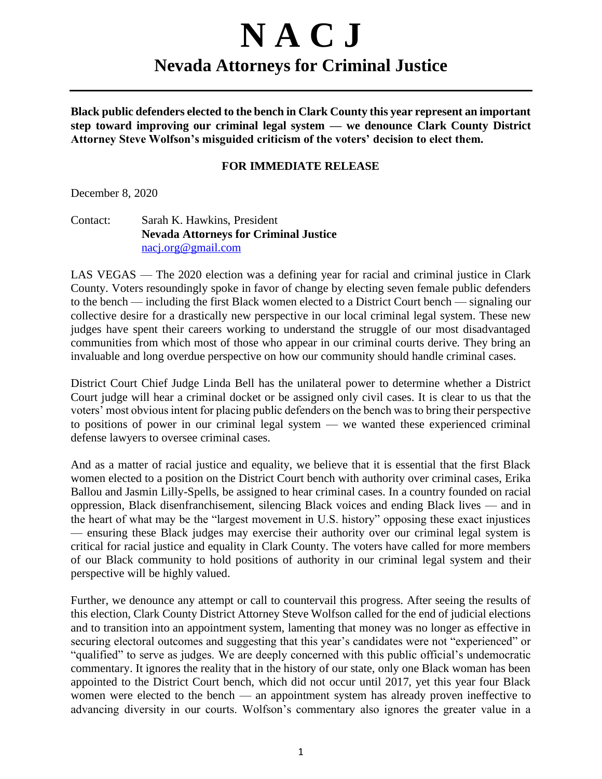## **N A C J Nevada Attorneys for Criminal Justice**

**Black public defenders elected to the bench in Clark County this year represent an important step toward improving our criminal legal system — we denounce Clark County District Attorney Steve Wolfson's misguided criticism of the voters' decision to elect them.**

## **FOR IMMEDIATE RELEASE**

December 8, 2020

Contact: Sarah K. Hawkins, President **Nevada Attorneys for Criminal Justice** nacj.org@gmail.com

LAS VEGAS — The 2020 election was a defining year for racial and criminal justice in Clark County. Voters resoundingly spoke in favor of change by electing seven female public defenders to the bench — including the first Black women elected to a District Court bench — signaling our collective desire for a drastically new perspective in our local criminal legal system. These new judges have spent their careers working to understand the struggle of our most disadvantaged communities from which most of those who appear in our criminal courts derive. They bring an invaluable and long overdue perspective on how our community should handle criminal cases.

District Court Chief Judge Linda Bell has the unilateral power to determine whether a District Court judge will hear a criminal docket or be assigned only civil cases. It is clear to us that the voters' most obvious intent for placing public defenders on the bench was to bring their perspective to positions of power in our criminal legal system — we wanted these experienced criminal defense lawyers to oversee criminal cases.

And as a matter of racial justice and equality, we believe that it is essential that the first Black women elected to a position on the District Court bench with authority over criminal cases, Erika Ballou and Jasmin Lilly-Spells, be assigned to hear criminal cases. In a country founded on racial oppression, Black disenfranchisement, silencing Black voices and ending Black lives — and in the heart of what may be the "largest movement in U.S. history" opposing these exact injustices — ensuring these Black judges may exercise their authority over our criminal legal system is critical for racial justice and equality in Clark County. The voters have called for more members of our Black community to hold positions of authority in our criminal legal system and their perspective will be highly valued.

Further, we denounce any attempt or call to countervail this progress. After seeing the results of this election, Clark County District Attorney Steve Wolfson called for the end of judicial elections and to transition into an appointment system, lamenting that money was no longer as effective in securing electoral outcomes and suggesting that this year's candidates were not "experienced" or "qualified" to serve as judges. We are deeply concerned with this public official's undemocratic commentary. It ignores the reality that in the history of our state, only one Black woman has been appointed to the District Court bench, which did not occur until 2017, yet this year four Black women were elected to the bench — an appointment system has already proven ineffective to advancing diversity in our courts. Wolfson's commentary also ignores the greater value in a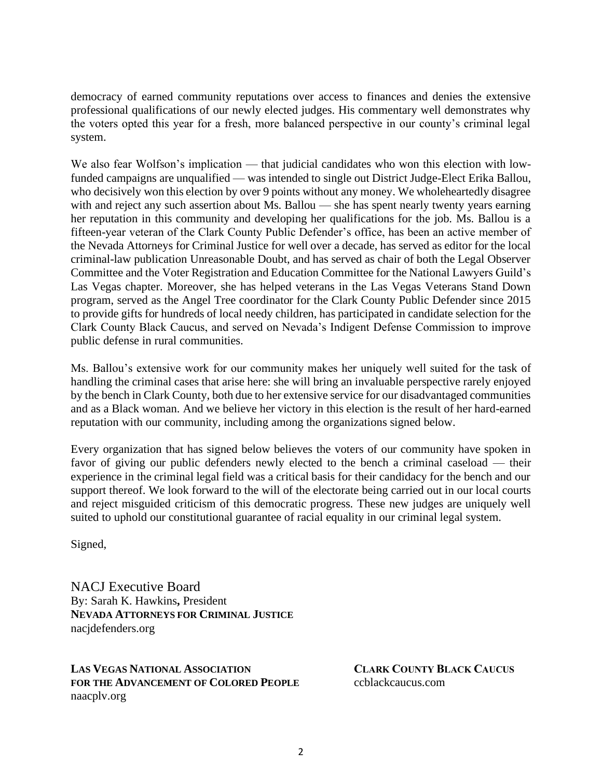democracy of earned community reputations over access to finances and denies the extensive professional qualifications of our newly elected judges. His commentary well demonstrates why the voters opted this year for a fresh, more balanced perspective in our county's criminal legal system.

We also fear Wolfson's implication — that judicial candidates who won this election with lowfunded campaigns are unqualified — was intended to single out District Judge-Elect Erika Ballou, who decisively won this election by over 9 points without any money. We wholeheartedly disagree with and reject any such assertion about Ms. Ballou — she has spent nearly twenty years earning her reputation in this community and developing her qualifications for the job. Ms. Ballou is a fifteen-year veteran of the Clark County Public Defender's office, has been an active member of the Nevada Attorneys for Criminal Justice for well over a decade, has served as editor for the local criminal-law publication Unreasonable Doubt, and has served as chair of both the Legal Observer Committee and the Voter Registration and Education Committee for the National Lawyers Guild's Las Vegas chapter. Moreover, she has helped veterans in the Las Vegas Veterans Stand Down program, served as the Angel Tree coordinator for the Clark County Public Defender since 2015 to provide gifts for hundreds of local needy children, has participated in candidate selection for the Clark County Black Caucus, and served on Nevada's Indigent Defense Commission to improve public defense in rural communities.

Ms. Ballou's extensive work for our community makes her uniquely well suited for the task of handling the criminal cases that arise here: she will bring an invaluable perspective rarely enjoyed by the bench in Clark County, both due to her extensive service for our disadvantaged communities and as a Black woman. And we believe her victory in this election is the result of her hard-earned reputation with our community, including among the organizations signed below.

Every organization that has signed below believes the voters of our community have spoken in favor of giving our public defenders newly elected to the bench a criminal caseload — their experience in the criminal legal field was a critical basis for their candidacy for the bench and our support thereof. We look forward to the will of the electorate being carried out in our local courts and reject misguided criticism of this democratic progress. These new judges are uniquely well suited to uphold our constitutional guarantee of racial equality in our criminal legal system.

Signed,

NACJ Executive Board By: Sarah K. Hawkins**,** President **NEVADA ATTORNEYS FOR CRIMINAL JUSTICE** nacjdefenders.org

**LAS VEGAS NATIONAL ASSOCIATION CLARK COUNTY BLACK CAUCUS FOR THE ADVANCEMENT OF COLORED PEOPLE** ccblackcaucus.com naacplv.org